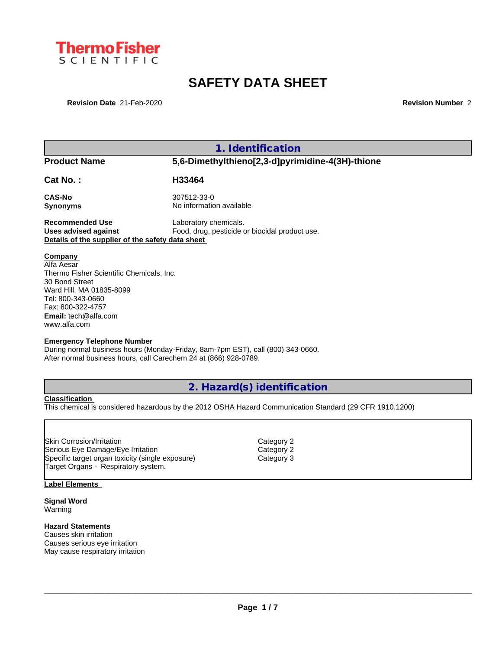

# **SAFETY DATA SHEET**

**Revision Date** 21-Feb-2020 **Revision Number** 2

| 1. Identification                                                                                                                                                                                               |                                                                                                                                                     |  |  |  |
|-----------------------------------------------------------------------------------------------------------------------------------------------------------------------------------------------------------------|-----------------------------------------------------------------------------------------------------------------------------------------------------|--|--|--|
| <b>Product Name</b>                                                                                                                                                                                             | 5,6-Dimethylthieno[2,3-d]pyrimidine-4(3H)-thione                                                                                                    |  |  |  |
| <b>Cat No.:</b>                                                                                                                                                                                                 | H33464                                                                                                                                              |  |  |  |
| <b>CAS-No</b><br><b>Synonyms</b>                                                                                                                                                                                | 307512-33-0<br>No information available                                                                                                             |  |  |  |
| <b>Recommended Use</b><br>Uses advised against<br>Details of the supplier of the safety data sheet                                                                                                              | Laboratory chemicals.<br>Food, drug, pesticide or biocidal product use.                                                                             |  |  |  |
| <b>Company</b><br>Alfa Aesar<br>Thermo Fisher Scientific Chemicals, Inc.<br>30 Bond Street<br>Ward Hill, MA 01835-8099<br>Tel: 800-343-0660<br>Fax: 800-322-4757<br><b>Email:</b> tech@alfa.com<br>www.alfa.com |                                                                                                                                                     |  |  |  |
| <b>Emergency Telephone Number</b>                                                                                                                                                                               | During normal business hours (Monday-Friday, 8am-7pm EST), call (800) 343-0660.<br>After normal business hours, call Carechem 24 at (866) 928-0789. |  |  |  |

# **2. Hazard(s) identification**

**Classification**

This chemical is considered hazardous by the 2012 OSHA Hazard Communication Standard (29 CFR 1910.1200)

Skin Corrosion/Irritation community control Category 2<br>
Serious Eye Damage/Eye Irritation community category 2 Serious Eye Damage/Eye Irritation Category 2 Specific target organ toxicity (single exposure) Target Organs - Respiratory system.

#### **Label Elements**

**Signal Word** Warning

# **Hazard Statements**

Causes skin irritation Causes serious eye irritation May cause respiratory irritation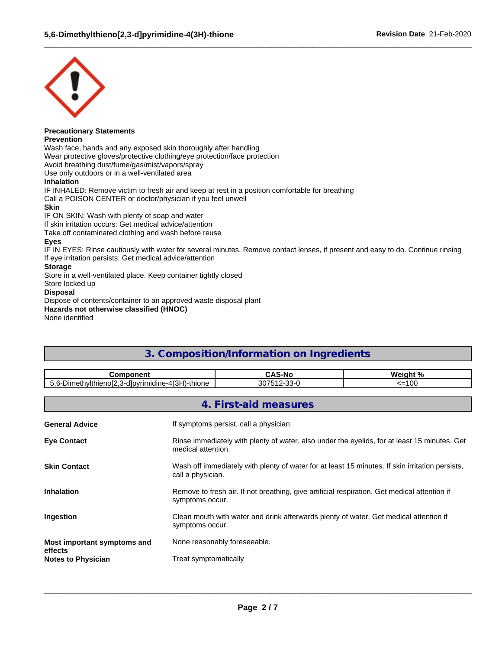

# **Precautionary Statements**

**Prevention**

Wash face, hands and any exposed skin thoroughly after handling Wear protective gloves/protective clothing/eye protection/face protection Avoid breathing dust/fume/gas/mist/vapors/spray Use only outdoors or in a well-ventilated area **Inhalation** IF INHALED: Remove victim to fresh air and keep at rest in a position comfortable for breathing Call a POISON CENTER or doctor/physician if you feel unwell **Skin** IF ON SKIN: Wash with plenty of soap and water If skin irritation occurs: Get medical advice/attention

Take off contaminated clothing and wash before reuse

### **Eyes**

IF IN EYES: Rinse cautiously with water for several minutes. Remove contact lenses, if present and easy to do. Continue rinsing If eye irritation persists: Get medical advice/attention

 $\_$  ,  $\_$  ,  $\_$  ,  $\_$  ,  $\_$  ,  $\_$  ,  $\_$  ,  $\_$  ,  $\_$  ,  $\_$  ,  $\_$  ,  $\_$  ,  $\_$  ,  $\_$  ,  $\_$  ,  $\_$  ,  $\_$  ,  $\_$  ,  $\_$  ,  $\_$  ,  $\_$  ,  $\_$  ,  $\_$  ,  $\_$  ,  $\_$  ,  $\_$  ,  $\_$  ,  $\_$  ,  $\_$  ,  $\_$  ,  $\_$  ,  $\_$  ,  $\_$  ,  $\_$  ,  $\_$  ,  $\_$  ,  $\_$  ,

### **Storage**

Store in a well-ventilated place. Keep container tightly closed

Store locked up

# **Disposal**

Dispose of contents/container to an approved waste disposal plant

**Hazards not otherwise classified (HNOC)**

None identified

# **3. Composition/Information on Ingredients**

| ,,,,,, <u>,</u>                                                                                                               | <b>CAS-No</b>         | ın                               |
|-------------------------------------------------------------------------------------------------------------------------------|-----------------------|----------------------------------|
| 10 <sub>1</sub><br>$5.6 -$<br>anvithieno <sup>ro</sup> f<br>f-thione<br>-d pyrimidine-4(<br>-۱۵۴۴.<br>3m<br>ישו<br>ווס<br>--- | $\sim$<br>2075'<br>-- | 10 <sup>o</sup><br>--<br>55 I UU |
|                                                                                                                               |                       |                                  |

# **4. First-aid measures**

| <b>General Advice</b>                | If symptoms persist, call a physician.                                                                               |
|--------------------------------------|----------------------------------------------------------------------------------------------------------------------|
| <b>Eye Contact</b>                   | Rinse immediately with plenty of water, also under the eyelids, for at least 15 minutes. Get<br>medical attention.   |
| <b>Skin Contact</b>                  | Wash off immediately with plenty of water for at least 15 minutes. If skin irritation persists,<br>call a physician. |
| <b>Inhalation</b>                    | Remove to fresh air. If not breathing, give artificial respiration. Get medical attention if<br>symptoms occur.      |
| Ingestion                            | Clean mouth with water and drink afterwards plenty of water. Get medical attention if<br>symptoms occur.             |
| Most important symptoms and          | None reasonably foreseeable.                                                                                         |
| effects<br><b>Notes to Physician</b> | Treat symptomatically                                                                                                |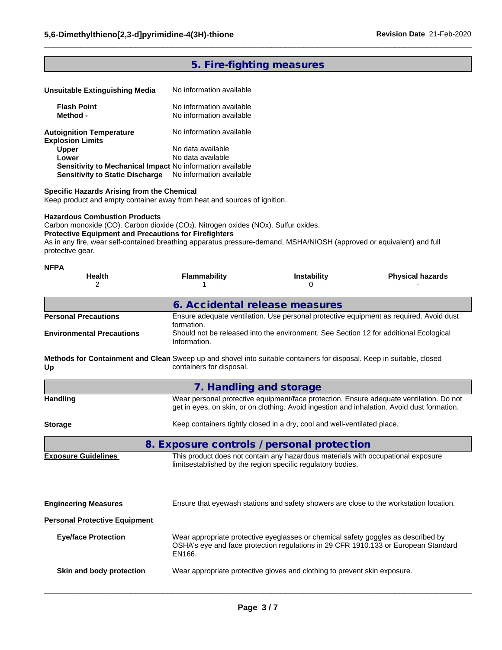# **5. Fire-fighting measures**

 $\_$  ,  $\_$  ,  $\_$  ,  $\_$  ,  $\_$  ,  $\_$  ,  $\_$  ,  $\_$  ,  $\_$  ,  $\_$  ,  $\_$  ,  $\_$  ,  $\_$  ,  $\_$  ,  $\_$  ,  $\_$  ,  $\_$  ,  $\_$  ,  $\_$  ,  $\_$  ,  $\_$  ,  $\_$  ,  $\_$  ,  $\_$  ,  $\_$  ,  $\_$  ,  $\_$  ,  $\_$  ,  $\_$  ,  $\_$  ,  $\_$  ,  $\_$  ,  $\_$  ,  $\_$  ,  $\_$  ,  $\_$  ,  $\_$  ,

| Unsuitable Extinguishing Media                                                                      | No information available                             |  |
|-----------------------------------------------------------------------------------------------------|------------------------------------------------------|--|
| <b>Flash Point</b><br>Method -                                                                      | No information available<br>No information available |  |
| <b>Autoignition Temperature</b><br><b>Explosion Limits</b>                                          | No information available                             |  |
| <b>Upper</b>                                                                                        | No data available                                    |  |
| Lower                                                                                               | No data available                                    |  |
| Sensitivity to Mechanical Impact No information available<br><b>Sensitivity to Static Discharge</b> | No information available                             |  |

#### **Specific Hazards Arising from the Chemical**

Keep product and empty container away from heat and sources of ignition.

#### **Hazardous Combustion Products**

Carbon monoxide (CO). Carbon dioxide (CO<sub>2</sub>). Nitrogen oxides (NOx). Sulfur oxides.

### **Protective Equipment and Precautions for Firefighters**

As in any fire, wear self-contained breathing apparatus pressure-demand, MSHA/NIOSH (approved or equivalent) and full protective gear.

| <b>NFPA</b><br><b>Health</b><br>2    | <b>Flammability</b>                                                                                                                               | <b>Instability</b><br>0 | <b>Physical hazards</b>                                                                                                                                                                |
|--------------------------------------|---------------------------------------------------------------------------------------------------------------------------------------------------|-------------------------|----------------------------------------------------------------------------------------------------------------------------------------------------------------------------------------|
|                                      |                                                                                                                                                   |                         |                                                                                                                                                                                        |
|                                      | 6. Accidental release measures                                                                                                                    |                         |                                                                                                                                                                                        |
| <b>Personal Precautions</b>          | formation.                                                                                                                                        |                         | Ensure adequate ventilation. Use personal protective equipment as required. Avoid dust                                                                                                 |
| <b>Environmental Precautions</b>     | Information.                                                                                                                                      |                         | Should not be released into the environment. See Section 12 for additional Ecological                                                                                                  |
| Up                                   | Methods for Containment and Clean Sweep up and shovel into suitable containers for disposal. Keep in suitable, closed<br>containers for disposal. |                         |                                                                                                                                                                                        |
|                                      | 7. Handling and storage                                                                                                                           |                         |                                                                                                                                                                                        |
| <b>Handling</b>                      |                                                                                                                                                   |                         | Wear personal protective equipment/face protection. Ensure adequate ventilation. Do not<br>get in eyes, on skin, or on clothing. Avoid ingestion and inhalation. Avoid dust formation. |
| <b>Storage</b>                       | Keep containers tightly closed in a dry, cool and well-ventilated place.                                                                          |                         |                                                                                                                                                                                        |
|                                      | 8. Exposure controls / personal protection                                                                                                        |                         |                                                                                                                                                                                        |
| <b>Exposure Guidelines</b>           | This product does not contain any hazardous materials with occupational exposure<br>limitsestablished by the region specific regulatory bodies.   |                         |                                                                                                                                                                                        |
| <b>Engineering Measures</b>          |                                                                                                                                                   |                         | Ensure that eyewash stations and safety showers are close to the workstation location.                                                                                                 |
| <b>Personal Protective Equipment</b> |                                                                                                                                                   |                         |                                                                                                                                                                                        |
| <b>Eye/face Protection</b>           | Wear appropriate protective eyeglasses or chemical safety goggles as described by<br>EN166.                                                       |                         | OSHA's eye and face protection regulations in 29 CFR 1910.133 or European Standard                                                                                                     |
| Skin and body protection             | Wear appropriate protective gloves and clothing to prevent skin exposure.                                                                         |                         |                                                                                                                                                                                        |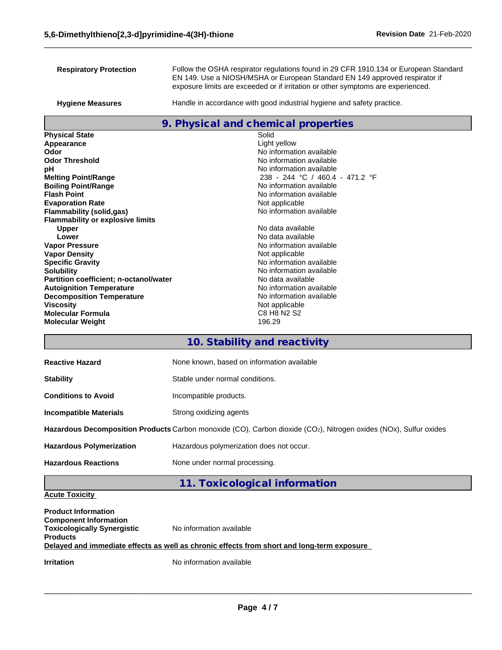| <b>Respiratory Protection</b>                                              | Follow the OSHA respirator regulations found in 29 CFR 1910.134 or European Standard<br>EN 149. Use a NIOSH/MSHA or European Standard EN 149 approved respirator if<br>exposure limits are exceeded or if irritation or other symptoms are experienced. |
|----------------------------------------------------------------------------|---------------------------------------------------------------------------------------------------------------------------------------------------------------------------------------------------------------------------------------------------------|
| <b>Hygiene Measures</b>                                                    | Handle in accordance with good industrial hygiene and safety practice.                                                                                                                                                                                  |
|                                                                            | 9. Physical and chemical properties                                                                                                                                                                                                                     |
| <b>Physical State</b>                                                      | Solid                                                                                                                                                                                                                                                   |
| Appearance                                                                 | Light yellow                                                                                                                                                                                                                                            |
| Odor                                                                       | No information available<br>No information available                                                                                                                                                                                                    |
| <b>Odor Threshold</b><br>рH                                                | No information available                                                                                                                                                                                                                                |
| <b>Melting Point/Range</b>                                                 | 238 - 244 °C / 460.4 - 471.2 °F                                                                                                                                                                                                                         |
| <b>Boiling Point/Range</b>                                                 | No information available                                                                                                                                                                                                                                |
| <b>Flash Point</b>                                                         | No information available                                                                                                                                                                                                                                |
| <b>Evaporation Rate</b>                                                    | Not applicable                                                                                                                                                                                                                                          |
| <b>Flammability (solid,gas)</b><br><b>Flammability or explosive limits</b> | No information available                                                                                                                                                                                                                                |
| <b>Upper</b>                                                               | No data available                                                                                                                                                                                                                                       |
| Lower<br><b>Vapor Pressure</b>                                             | No data available<br>No information available                                                                                                                                                                                                           |
| <b>Vapor Density</b>                                                       | Not applicable                                                                                                                                                                                                                                          |
| <b>Specific Gravity</b>                                                    | No information available                                                                                                                                                                                                                                |
| <b>Solubility</b>                                                          | No information available                                                                                                                                                                                                                                |
| Partition coefficient; n-octanol/water                                     | No data available                                                                                                                                                                                                                                       |
| <b>Autoignition Temperature</b>                                            | No information available                                                                                                                                                                                                                                |
| <b>Decomposition Temperature</b>                                           | No information available                                                                                                                                                                                                                                |
| <b>Viscosity</b>                                                           | Not applicable                                                                                                                                                                                                                                          |
| <b>Molecular Formula</b><br><b>Molecular Weight</b>                        | C8 H8 N2 S2<br>196.29                                                                                                                                                                                                                                   |
|                                                                            |                                                                                                                                                                                                                                                         |
|                                                                            | 10. Stability and reactivity                                                                                                                                                                                                                            |
| <b>Reactive Hazard</b>                                                     | None known, based on information available                                                                                                                                                                                                              |
| <b>Stability</b>                                                           | Stable under normal conditions.                                                                                                                                                                                                                         |
| <b>Conditions to Avoid</b>                                                 | Incompatible products.                                                                                                                                                                                                                                  |
| <b>Incompatible Materials</b>                                              | Strong oxidizing agents                                                                                                                                                                                                                                 |
|                                                                            | Hazardous Decomposition Products Carbon monoxide (CO), Carbon dioxide (CO2), Nitrogen oxides (NOx), Sulfur oxides                                                                                                                                       |
| <b>Hazardous Polymerization</b>                                            | Hazardous polymerization does not occur.                                                                                                                                                                                                                |
| <b>Hazardous Reactions</b>                                                 | None under normal processing.                                                                                                                                                                                                                           |
|                                                                            | 11. Toxicological information                                                                                                                                                                                                                           |
| <b>Acute Toxicity</b>                                                      |                                                                                                                                                                                                                                                         |
| <b>Product Information</b>                                                 |                                                                                                                                                                                                                                                         |
| <b>Component Information</b><br><b>Toxicologically Synergistic</b>         | No information available                                                                                                                                                                                                                                |
| <b>Products</b>                                                            |                                                                                                                                                                                                                                                         |
|                                                                            | Delayed and immediate effects as well as chronic effects from short and long-term exposure                                                                                                                                                              |
| <b>Irritation</b>                                                          | No information available                                                                                                                                                                                                                                |
|                                                                            |                                                                                                                                                                                                                                                         |
|                                                                            |                                                                                                                                                                                                                                                         |

 $\_$  ,  $\_$  ,  $\_$  ,  $\_$  ,  $\_$  ,  $\_$  ,  $\_$  ,  $\_$  ,  $\_$  ,  $\_$  ,  $\_$  ,  $\_$  ,  $\_$  ,  $\_$  ,  $\_$  ,  $\_$  ,  $\_$  ,  $\_$  ,  $\_$  ,  $\_$  ,  $\_$  ,  $\_$  ,  $\_$  ,  $\_$  ,  $\_$  ,  $\_$  ,  $\_$  ,  $\_$  ,  $\_$  ,  $\_$  ,  $\_$  ,  $\_$  ,  $\_$  ,  $\_$  ,  $\_$  ,  $\_$  ,  $\_$  ,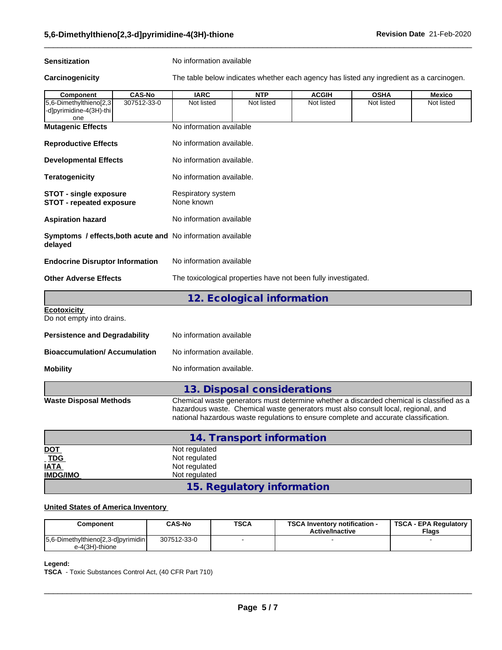**Sensitization** No information available

**Carcinogenicity** The table below indicateswhether each agency has listed any ingredient as a carcinogen.

 $\_$  ,  $\_$  ,  $\_$  ,  $\_$  ,  $\_$  ,  $\_$  ,  $\_$  ,  $\_$  ,  $\_$  ,  $\_$  ,  $\_$  ,  $\_$  ,  $\_$  ,  $\_$  ,  $\_$  ,  $\_$  ,  $\_$  ,  $\_$  ,  $\_$  ,  $\_$  ,  $\_$  ,  $\_$  ,  $\_$  ,  $\_$  ,  $\_$  ,  $\_$  ,  $\_$  ,  $\_$  ,  $\_$  ,  $\_$  ,  $\_$  ,  $\_$  ,  $\_$  ,  $\_$  ,  $\_$  ,  $\_$  ,  $\_$  ,

| <b>Component</b>                                                              | <b>CAS-No</b> | <b>IARC</b>                      | <b>NTP</b>                  | <b>ACGIH</b>                                                                                                                                                                                                                                                          | <b>OSHA</b> | <b>Mexico</b> |
|-------------------------------------------------------------------------------|---------------|----------------------------------|-----------------------------|-----------------------------------------------------------------------------------------------------------------------------------------------------------------------------------------------------------------------------------------------------------------------|-------------|---------------|
| 5,6-Dimethylthieno[2,3<br>-d]pyrimidine-4(3H)-thi<br>one                      | 307512-33-0   | Not listed                       | Not listed                  | Not listed                                                                                                                                                                                                                                                            | Not listed  | Not listed    |
| <b>Mutagenic Effects</b>                                                      |               | No information available         |                             |                                                                                                                                                                                                                                                                       |             |               |
| <b>Reproductive Effects</b>                                                   |               | No information available.        |                             |                                                                                                                                                                                                                                                                       |             |               |
| <b>Developmental Effects</b>                                                  |               | No information available.        |                             |                                                                                                                                                                                                                                                                       |             |               |
| <b>Teratogenicity</b>                                                         |               | No information available.        |                             |                                                                                                                                                                                                                                                                       |             |               |
| <b>STOT - single exposure</b><br><b>STOT - repeated exposure</b>              |               | Respiratory system<br>None known |                             |                                                                                                                                                                                                                                                                       |             |               |
| <b>Aspiration hazard</b>                                                      |               | No information available         |                             |                                                                                                                                                                                                                                                                       |             |               |
| <b>Symptoms / effects, both acute and No information available</b><br>delayed |               |                                  |                             |                                                                                                                                                                                                                                                                       |             |               |
| <b>Endocrine Disruptor Information</b>                                        |               | No information available         |                             |                                                                                                                                                                                                                                                                       |             |               |
| <b>Other Adverse Effects</b>                                                  |               |                                  |                             | The toxicological properties have not been fully investigated.                                                                                                                                                                                                        |             |               |
|                                                                               |               |                                  | 12. Ecological information  |                                                                                                                                                                                                                                                                       |             |               |
| <b>Ecotoxicity</b><br>Do not empty into drains.                               |               |                                  |                             |                                                                                                                                                                                                                                                                       |             |               |
| <b>Persistence and Degradability</b>                                          |               | No information available         |                             |                                                                                                                                                                                                                                                                       |             |               |
| <b>Bioaccumulation/Accumulation</b>                                           |               | No information available.        |                             |                                                                                                                                                                                                                                                                       |             |               |
| <b>Mobility</b>                                                               |               | No information available.        |                             |                                                                                                                                                                                                                                                                       |             |               |
|                                                                               |               |                                  | 13. Disposal considerations |                                                                                                                                                                                                                                                                       |             |               |
| <b>Waste Disposal Methods</b>                                                 |               |                                  |                             | Chemical waste generators must determine whether a discarded chemical is classified as a<br>hazardous waste. Chemical waste generators must also consult local, regional, and<br>national hazardous waste regulations to ensure complete and accurate classification. |             |               |

|                                                            | 14. Transport information  |
|------------------------------------------------------------|----------------------------|
| <b>DOT</b>                                                 | Not regulated              |
| $\underline{\overline{TDG}}$<br>$\underline{\overline{I}}$ | Not regulated              |
|                                                            | Not regulated              |
| <b>IMDG/IMO</b>                                            | Not regulated              |
|                                                            | 15. Regulatory information |

### **United States of America Inventory**

| Component                                            | <b>CAS-No</b> | <b>TSCA</b> | <b>TSCA Inventory notification -</b><br><b>Active/Inactive</b> | <b>TSCA - EPA Regulatory</b><br><b>Flags</b> |
|------------------------------------------------------|---------------|-------------|----------------------------------------------------------------|----------------------------------------------|
| 5,6-Dimethylthieno[2,3-d]pyrimidin<br>e-4(3H)-thione | 307512-33-0   |             |                                                                |                                              |

#### **Legend:**

**TSCA** - Toxic Substances Control Act, (40 CFR Part 710)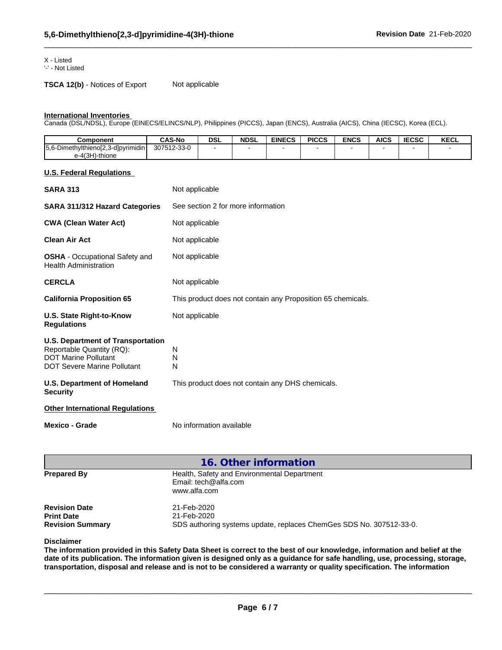### X - Listed

'-' - Not Listed

**TSCA 12(b)** - Notices of Export Not applicable

#### **International Inventories**

Canada (DSL/NDSL), Europe (EINECS/ELINCS/NLP), Philippines (PICCS), Japan (ENCS), Australia (AICS), China (IECSC), Korea (ECL).

| Component                            | <b>CAS-No</b> | <b>DSL</b> | <b>NDSL</b> | <b>EINECS</b> | <b>PICCS</b> | <b>ENCS</b> | <b>AICS</b> | <b>IECSC</b> | KECL |
|--------------------------------------|---------------|------------|-------------|---------------|--------------|-------------|-------------|--------------|------|
| [5,6-Dimethylthieno[2,3-d]pyrimidin] | 307512-33-0   |            |             |               |              |             |             |              |      |
| e-4(3H)-thione                       |               |            |             |               |              |             |             |              |      |

 $\_$  ,  $\_$  ,  $\_$  ,  $\_$  ,  $\_$  ,  $\_$  ,  $\_$  ,  $\_$  ,  $\_$  ,  $\_$  ,  $\_$  ,  $\_$  ,  $\_$  ,  $\_$  ,  $\_$  ,  $\_$  ,  $\_$  ,  $\_$  ,  $\_$  ,  $\_$  ,  $\_$  ,  $\_$  ,  $\_$  ,  $\_$  ,  $\_$  ,  $\_$  ,  $\_$  ,  $\_$  ,  $\_$  ,  $\_$  ,  $\_$  ,  $\_$  ,  $\_$  ,  $\_$  ,  $\_$  ,  $\_$  ,  $\_$  ,

#### **U.S. Federal Regulations**

| <b>SARA 313</b>                                                                                                                            | Not applicable                                              |
|--------------------------------------------------------------------------------------------------------------------------------------------|-------------------------------------------------------------|
| <b>SARA 311/312 Hazard Categories</b>                                                                                                      | See section 2 for more information                          |
| <b>CWA (Clean Water Act)</b>                                                                                                               | Not applicable                                              |
| <b>Clean Air Act</b>                                                                                                                       | Not applicable                                              |
| <b>OSHA</b> - Occupational Safety and<br><b>Health Administration</b>                                                                      | Not applicable                                              |
| <b>CERCLA</b>                                                                                                                              | Not applicable                                              |
| <b>California Proposition 65</b>                                                                                                           | This product does not contain any Proposition 65 chemicals. |
| U.S. State Right-to-Know<br><b>Regulations</b>                                                                                             | Not applicable                                              |
| <b>U.S. Department of Transportation</b><br>Reportable Quantity (RQ):<br><b>DOT Marine Pollutant</b><br><b>DOT Severe Marine Pollutant</b> | N<br>N<br>N                                                 |
| <b>U.S. Department of Homeland</b><br><b>Security</b>                                                                                      | This product does not contain any DHS chemicals.            |
| <b>Other International Regulations</b>                                                                                                     |                                                             |
| <b>Mexico - Grade</b>                                                                                                                      | No information available                                    |

|                                                                      | 16. Other information                                                                             |
|----------------------------------------------------------------------|---------------------------------------------------------------------------------------------------|
| <b>Prepared By</b>                                                   | Health, Safety and Environmental Department<br>Email: tech@alfa.com<br>www.alfa.com               |
| <b>Revision Date</b><br><b>Print Date</b><br><b>Revision Summary</b> | 21-Feb-2020<br>21-Feb-2020<br>SDS authoring systems update, replaces ChemGes SDS No. 307512-33-0. |

### **Disclaimer**

The information provided in this Safety Data Sheet is correct to the best of our knowledge, information and belief at the date of its publication. The information given is designed only as a guidance for safe handling, use, processing, storage, transportation, disposal and release and is not to be considered a warranty or quality specification. The information